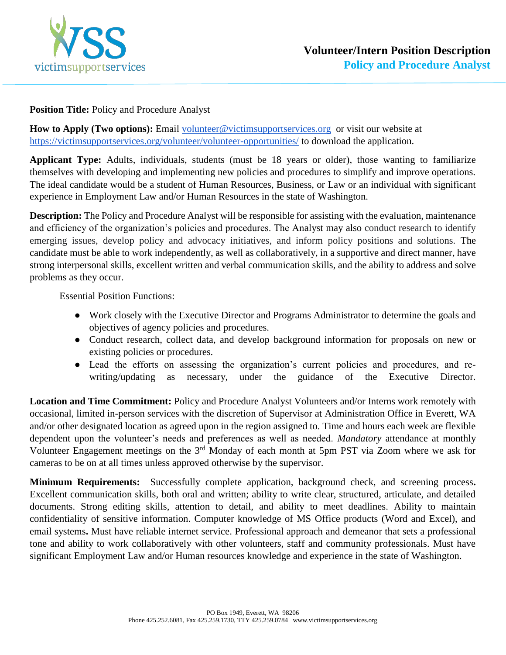

## **Position Title:** Policy and Procedure Analyst

How to Apply (Two options): Email [volunteer@victimsupportservices.org](mailto:volunteer@victimsupportservices.org) or visit our website at <https://victimsupportservices.org/volunteer/volunteer-opportunities/> to download the application.

**Applicant Type:** Adults, individuals, students (must be 18 years or older), those wanting to familiarize themselves with developing and implementing new policies and procedures to simplify and improve operations. The ideal candidate would be a student of Human Resources, Business, or Law or an individual with significant experience in Employment Law and/or Human Resources in the state of Washington.

**Description:** The Policy and Procedure Analyst will be responsible for assisting with the evaluation, maintenance and efficiency of the organization's policies and procedures. The Analyst may also conduct research to identify emerging issues, develop policy and advocacy initiatives, and inform policy positions and solutions. The candidate must be able to work independently, as well as collaboratively, in a supportive and direct manner, have strong interpersonal skills, excellent written and verbal communication skills, and the ability to address and solve problems as they occur.

Essential Position Functions:

- Work closely with the Executive Director and Programs Administrator to determine the goals and objectives of agency policies and procedures.
- Conduct research, collect data, and develop background information for proposals on new or existing policies or procedures.
- Lead the efforts on assessing the organization's current policies and procedures, and rewriting/updating as necessary, under the guidance of the Executive Director.

**Location and Time Commitment:** Policy and Procedure Analyst Volunteers and/or Interns work remotely with occasional, limited in-person services with the discretion of Supervisor at Administration Office in Everett, WA and/or other designated location as agreed upon in the region assigned to. Time and hours each week are flexible dependent upon the volunteer's needs and preferences as well as needed. *Mandatory* attendance at monthly Volunteer Engagement meetings on the 3rd Monday of each month at 5pm PST via Zoom where we ask for cameras to be on at all times unless approved otherwise by the supervisor.

**Minimum Requirements:** Successfully complete application, background check, and screening process**.**  Excellent communication skills, both oral and written; ability to write clear, structured, articulate, and detailed documents. Strong editing skills, attention to detail, and ability to meet deadlines. Ability to maintain confidentiality of sensitive information. Computer knowledge of MS Office products (Word and Excel), and email systems**.** Must have reliable internet service. Professional approach and demeanor that sets a professional tone and ability to work collaboratively with other volunteers, staff and community professionals. Must have significant Employment Law and/or Human resources knowledge and experience in the state of Washington.